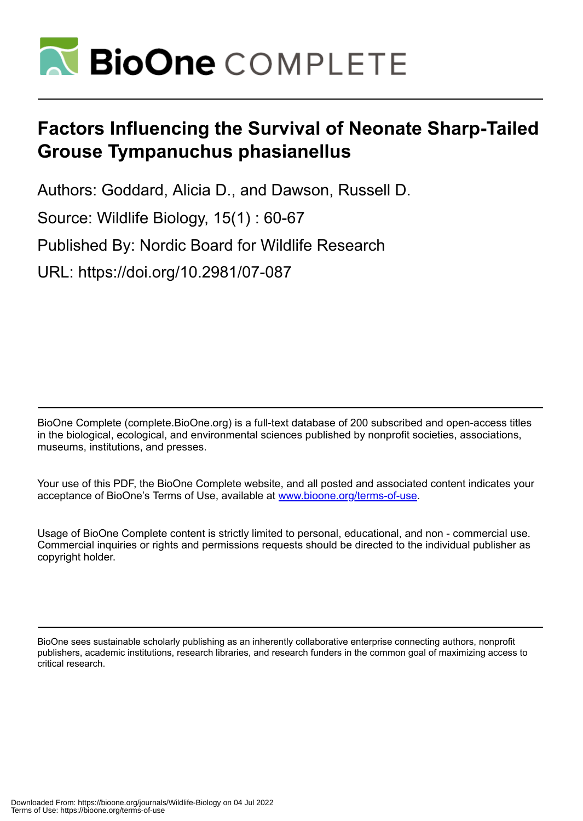

# **Factors Influencing the Survival of Neonate Sharp-Tailed Grouse Tympanuchus phasianellus**

Authors: Goddard, Alicia D., and Dawson, Russell D.

Source: Wildlife Biology, 15(1) : 60-67

Published By: Nordic Board for Wildlife Research

URL: https://doi.org/10.2981/07-087

BioOne Complete (complete.BioOne.org) is a full-text database of 200 subscribed and open-access titles in the biological, ecological, and environmental sciences published by nonprofit societies, associations, museums, institutions, and presses.

Your use of this PDF, the BioOne Complete website, and all posted and associated content indicates your acceptance of BioOne's Terms of Use, available at www.bioone.org/terms-of-use.

Usage of BioOne Complete content is strictly limited to personal, educational, and non - commercial use. Commercial inquiries or rights and permissions requests should be directed to the individual publisher as copyright holder.

BioOne sees sustainable scholarly publishing as an inherently collaborative enterprise connecting authors, nonprofit publishers, academic institutions, research libraries, and research funders in the common goal of maximizing access to critical research.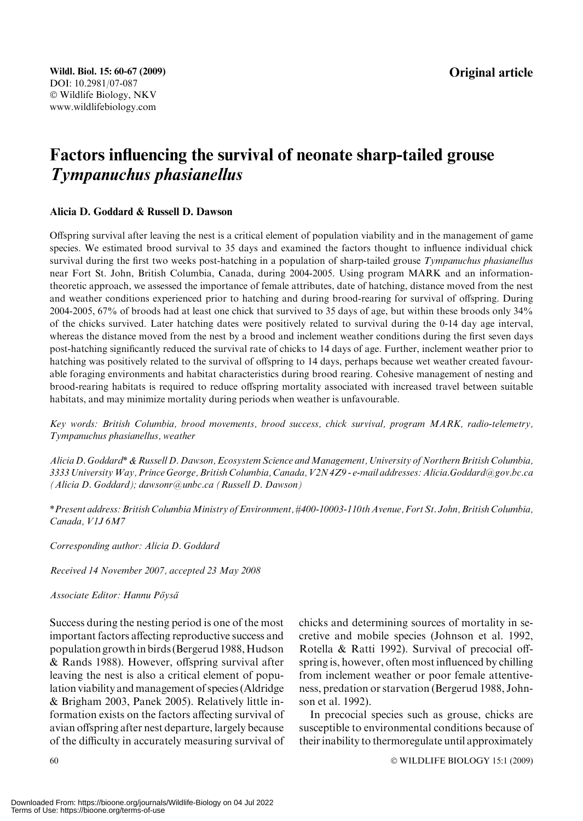## Factors influencing the survival of neonate sharp-tailed grouse Tympanuchus phasianellus

#### Alicia D. Goddard & Russell D. Dawson

Offspring survival after leaving the nest is a critical element of population viability and in the management of game species. We estimated brood survival to 35 days and examined the factors thought to influence individual chick survival during the first two weeks post-hatching in a population of sharp-tailed grouse Tympanuchus phasianellus near Fort St. John, British Columbia, Canada, during 2004-2005. Using program MARK and an informationtheoretic approach, we assessed the importance of female attributes, date of hatching, distance moved from the nest and weather conditions experienced prior to hatching and during brood-rearing for survival of offspring. During 2004-2005, 67% of broods had at least one chick that survived to 35 days of age, but within these broods only 34% of the chicks survived. Later hatching dates were positively related to survival during the 0-14 day age interval, whereas the distance moved from the nest by a brood and inclement weather conditions during the first seven days post-hatching significantly reduced the survival rate of chicks to 14 days of age. Further, inclement weather prior to hatching was positively related to the survival of offspring to 14 days, perhaps because wet weather created favourable foraging environments and habitat characteristics during brood rearing. Cohesive management of nesting and brood-rearing habitats is required to reduce offspring mortality associated with increased travel between suitable habitats, and may minimize mortality during periods when weather is unfavourable.

Key words: British Columbia, brood movements, brood success, chick survival, program MARK, radio-telemetry, Tympanuchus phasianellus, weather

Alicia D. Goddard\* & Russell D. Dawson, Ecosystem Science and Management, University of Northern British Columbia, 3333 University Way, Prince George, British Columbia, Canada, V2N 4Z9 - e-mail addresses: Alicia.Goddard@gov.bc.ca (Alicia D. Goddard); dawsonr@unbc.ca (Russell D. Dawson)

\*Present address: British ColumbiaMinistry of Environment, #400-10003-110th Avenue, Fort St. John, British Columbia, Canada, V1J 6M7

Corresponding author: Alicia D. Goddard

Received 14 November 2007, accepted 23 May 2008

#### Associate Editor: Hannu Pöysä

Success during the nesting period is one of the most important factors affecting reproductive success and population growthin birds (Bergerud 1988,Hudson & Rands 1988). However, offspring survival after leaving the nest is also a critical element of population viability and management of species (Aldridge & Brigham 2003, Panek 2005). Relatively little information exists on the factors affecting survival of avian offspring after nest departure, largely because of the difficulty in accurately measuring survival of chicks and determining sources of mortality in secretive and mobile species (Johnson et al. 1992, Rotella & Ratti 1992). Survival of precocial offspring is, however, often most influenced by chilling from inclement weather or poor female attentiveness, predation or starvation (Bergerud 1988, Johnson et al. 1992).

In precocial species such as grouse, chicks are susceptible to environmental conditions because of their inability to thermoregulate until approximately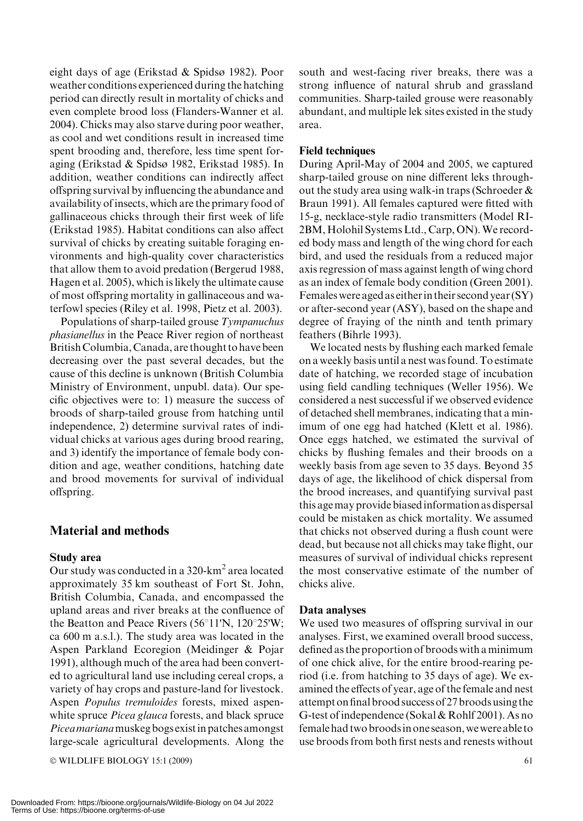eight days of age (Erikstad & Spidsø 1982). Poor weather conditions experienced during the hatching period can directly result in mortality of chicks and even complete brood loss (Flanders-Wanner et al. 2004). Chicks may also starve during poor weather, as cool and wet conditions result in increased time spent brooding and, therefore, less time spent foraging (Erikstad & Spidsø 1982, Erikstad 1985). In addition, weather conditions can indirectly affect offspring survival by influencing the abundance and availability of insects, which are the primary food of gallinaceous chicks through their first week of life (Erikstad 1985). Habitat conditions can also affect survival of chicks by creating suitable foraging environments and high-quality cover characteristics that allow them to avoid predation (Bergerud 1988, Hagen et al. 2005), which is likely the ultimate cause of most offspring mortality in gallinaceous and waterfowl species (Riley et al. 1998, Pietz et al. 2003).

Populations of sharp-tailed grouse Tympanuchus phasianellus in the Peace River region of northeast British Columbia, Canada, are thought to have been decreasing over the past several decades, but the cause of this decline is unknown (British Columbia Ministry of Environment, unpubl. data). Our specific objectives were to: 1) measure the success of broods of sharp-tailed grouse from hatching until independence, 2) determine survival rates of individual chicks at various ages during brood rearing, and 3) identify the importance of female body condition and age, weather conditions, hatching date and brood movements for survival of individual offspring.

## Material and methods

#### Study area

Our study was conducted in a 320-km<sup>2</sup> area located approximately 35 km southeast of Fort St. John, British Columbia, Canada, and encompassed the upland areas and river breaks at the confluence of the Beatton and Peace Rivers ( $56^{\circ}11'N$ ,  $120^{\circ}25'W$ ; ca 600 m a.s.l.). The study area was located in the Aspen Parkland Ecoregion (Meidinger & Pojar 1991), although much of the area had been converted to agricultural land use including cereal crops, a variety of hay crops and pasture-land for livestock. Aspen Populus tremuloides forests, mixed aspenwhite spruce *Picea glauca* forests, and black spruce Piceamarianamuskeg bogs existin patches amongst large-scale agricultural developments. Along the

 $\odot$  WILDLIFE BIOLOGY 15:1 (2009) 61

south and west-facing river breaks, there was a strong influence of natural shrub and grassland communities. Sharp-tailed grouse were reasonably abundant, and multiple lek sites existed in the study area.

#### Field techniques

During April-May of 2004 and 2005, we captured sharp-tailed grouse on nine different leks throughout the study area using walk-in traps (Schroeder & Braun 1991). All females captured were fitted with 15-g, necklace-style radio transmitters (Model RI-2BM, Holohil Systems Ltd., Carp, ON). We recorded body mass and length of the wing chord for each bird, and used the residuals from a reduced major axis regression of mass against length of wing chord as an index of female body condition (Green 2001). Females were aged as eitherin their second year (SY) or after-second year (ASY), based on the shape and degree of fraying of the ninth and tenth primary feathers (Bihrle 1993).

We located nests by flushing each marked female on a weekly basis until a nest was found. To estimate date of hatching, we recorded stage of incubation using field candling techniques (Weller 1956). We considered a nest successful if we observed evidence of detached shell membranes, indicating that a minimum of one egg had hatched (Klett et al. 1986). Once eggs hatched, we estimated the survival of chicks by flushing females and their broods on a weekly basis from age seven to 35 days. Beyond 35 days of age, the likelihood of chick dispersal from the brood increases, and quantifying survival past this agemay provide biasedinformation as dispersal could be mistaken as chick mortality. We assumed that chicks not observed during a flush count were dead, but because not all chicks may take flight, our measures of survival of individual chicks represent the most conservative estimate of the number of chicks alive.

#### Data analyses

We used two measures of offspring survival in our analyses. First, we examined overall brood success, defined as the proportion of broods with aminimum of one chick alive, for the entire brood-rearing period (i.e. from hatching to 35 days of age). We examined the effects of year, age of the female and nest attempt on final brood success of 27 broods using the G-test of independence (Sokal & Rohlf 2001). As no female had two broodsin one season, we were able to use broods from both first nests and renests without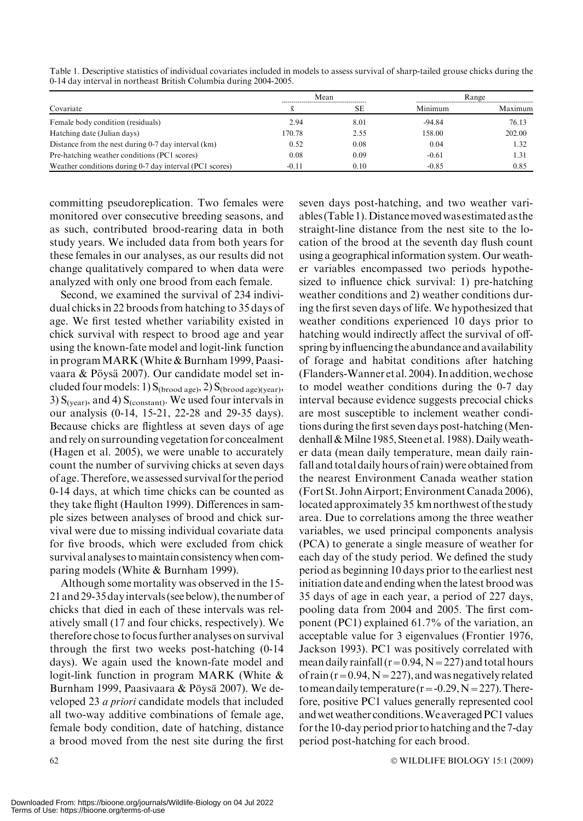|                                                         | Mean    |      | Range    |         |
|---------------------------------------------------------|---------|------|----------|---------|
| Covariate                                               |         | SЕ   | Minimum  | Maximum |
| Female body condition (residuals)                       | 2.94    | 8.01 | $-94.84$ | 76.13   |
| Hatching date (Julian days)                             | 170.78  | 2.55 | 158.00   | 202.00  |
| Distance from the nest during 0-7 day interval (km)     | 0.52    | 0.08 | 0.04     | 1.32    |
| Pre-hatching weather conditions (PC1 scores)            | 0.08    | 0.09 | $-0.61$  | 1.31    |
| Weather conditions during 0-7 day interval (PC1 scores) | $-0.11$ | 0.10 | $-0.85$  | 0.85    |

Table 1. Descriptive statistics of individual covariates included in models to assess survival of sharp-tailed grouse chicks during the 0-14 day interval in northeast British Columbia during 2004-2005.

committing pseudoreplication. Two females were monitored over consecutive breeding seasons, and as such, contributed brood-rearing data in both study years. We included data from both years for these females in our analyses, as our results did not change qualitatively compared to when data were analyzed with only one brood from each female.

Second, we examined the survival of 234 individual chicks in 22 broods from hatching to 35 days of age. We first tested whether variability existed in chick survival with respect to brood age and year using the known-fate model and logit-link function in programMARK (White & Burnham 1999, Paasivaara & Pöysä 2007). Our candidate model set included four models: 1)  $S_{(broad age)}$ , 2)  $S_{(broad age)(year)}$ , 3)  $S_{(year)}$ , and 4)  $S_{(constant)}$ . We used four intervals in our analysis (0-14, 15-21, 22-28 and 29-35 days). Because chicks are flightless at seven days of age and rely on surrounding vegetation for concealment (Hagen et al. 2005), we were unable to accurately count the number of surviving chicks at seven days of age.Therefore, we assessed survival for the period 0-14 days, at which time chicks can be counted as they take flight (Haulton 1999). Differences in sample sizes between analyses of brood and chick survival were due to missing individual covariate data for five broods, which were excluded from chick survival analyses to maintain consistency when comparing models (White & Burnham 1999).

Although some mortality was observed in the 15- 21 and 29-35 dayintervals (see below), the number of chicks that died in each of these intervals was relatively small (17 and four chicks, respectively). We therefore chose to focus further analyses on survival through the first two weeks post-hatching (0-14 days). We again used the known-fate model and logit-link function in program MARK (White & Burnham 1999, Paasivaara & Pöysä 2007). We developed 23 a priori candidate models that included all two-way additive combinations of female age, female body condition, date of hatching, distance a brood moved from the nest site during the first

seven days post-hatching, and two weather variables (Table 1).Distancemovedwas estimated as the straight-line distance from the nest site to the location of the brood at the seventh day flush count using a geographical information system. Our weather variables encompassed two periods hypothesized to influence chick survival: 1) pre-hatching weather conditions and 2) weather conditions during the first seven days of life. We hypothesized that weather conditions experienced 10 days prior to hatching would indirectly affect the survival of offspring byinfluencing the abundance and availability of forage and habitat conditions after hatching (Flanders-Wanner et al. 2004). In addition, we chose to model weather conditions during the 0-7 day interval because evidence suggests precocial chicks are most susceptible to inclement weather conditions during the first seven days post-hatching (Mendenhall & Milne 1985, Steen et al. 1988). Daily weather data (mean daily temperature, mean daily rainfall and total daily hours of rain) were obtained from the nearest Environment Canada weather station (Fort St. John Airport; Environment Canada 2006), located approximately 35 km northwest of the study area. Due to correlations among the three weather variables, we used principal components analysis (PCA) to generate a single measure of weather for each day of the study period. We defined the study period as beginning 10 days prior to the earliest nest initiation date and ending when the latest brood was 35 days of age in each year, a period of 227 days, pooling data from 2004 and 2005. The first component (PC1) explained 61.7% of the variation, an acceptable value for 3 eigenvalues (Frontier 1976, Jackson 1993). PC1 was positively correlated with mean daily rainfall ( $r=0.94$ ,  $N=227$ ) and total hours of rain ( $r=0.94$ ,  $N=227$ ), and was negatively related to mean daily temperature ( $r = -0.29$ ,  $N = 227$ ). Therefore, positive PC1 values generally represented cool andwet weather conditions.We averagedPC1 values for the 10-day period prior to hatching and the 7-day period post-hatching for each brood.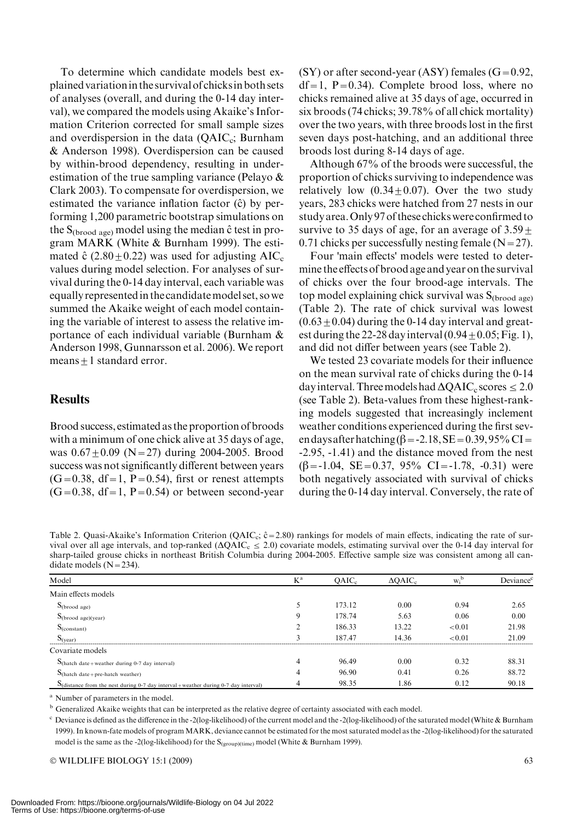To determine which candidate models best explained variationin the survival of chicksin both sets of analyses (overall, and during the 0-14 day interval), we compared the models using Akaike's Information Criterion corrected for small sample sizes and overdispersion in the data  $(QAIC_c;$  Burnham & Anderson 1998). Overdispersion can be caused by within-brood dependency, resulting in underestimation of the true sampling variance (Pelayo & Clark 2003). To compensate for overdispersion, we estimated the variance inflation factor  $(\hat{c})$  by performing 1,200 parametric bootstrap simulations on the  $S_{(broad age)}$  model using the median  $\hat{c}$  test in program MARK (White & Burnham 1999). The estimated  $\hat{c}$  (2.80 + 0.22) was used for adjusting AIC<sub>c</sub> values during model selection. For analyses of survival during the 0-14 day interval, each variable was equally representedin the candidatemodel set, so we summed the Akaike weight of each model containing the variable of interest to assess the relative importance of each individual variable (Burnham & Anderson 1998, Gunnarsson et al. 2006). We report  $means + 1 standard error.$ 

### **Results**

Brood success, estimated as the proportion of broods with a minimum of one chick alive at 35 days of age, was  $0.67 \pm 0.09$  (N=27) during 2004-2005. Brood success was not significantly different between years  $(G=0.38, df=1, P=0.54)$ , first or renest attempts  $(G=0.38, df=1, P=0.54)$  or between second-year  $(SY)$  or after second-year (ASY) females  $(G=0.92,$  $df=1$ , P=0.34). Complete brood loss, where no chicks remained alive at 35 days of age, occurred in six broods (74 chicks; 39.78% of all chick mortality) over the two years, with three broods lost in the first seven days post-hatching, and an additional three broods lost during 8-14 days of age.

Although 67% of the broods were successful, the proportion of chicks surviving to independence was relatively low  $(0.34+0.07)$ . Over the two study years, 283 chicks were hatched from 27 nests in our study area.Only 97 of these chicks were confirmed to survive to 35 days of age, for an average of  $3.59 \pm$ 0.71 chicks per successfully nesting female  $(N=27)$ .

Four 'main effects' models were tested to determine the effects of brood age and year on the survival of chicks over the four brood-age intervals. The top model explaining chick survival was  $S_{(broad, age)}$ (Table 2). The rate of chick survival was lowest  $(0.63 \pm 0.04)$  during the 0-14 day interval and greatest during the 22-28 day interval  $(0.94 \pm 0.05;$  Fig. 1), and did not differ between years (see Table 2).

We tested 23 covariate models for their influence on the mean survival rate of chicks during the 0-14 day interval. Three models had  $\Delta QAIC_c$  scores  $\leq 2.0$ (see Table 2). Beta-values from these highest-ranking models suggested that increasingly inclement weather conditions experienced during the first seven days after hatching  $(\beta = -2.18, SE = 0.39, 95\% \text{ CI} =$ -2.95, -1.41) and the distance moved from the nest  $(\beta = -1.04, \text{ SE} = 0.37, 95\% \text{ CI} = -1.78, -0.31)$  were both negatively associated with survival of chicks during the 0-14 day interval. Conversely, the rate of

Table 2. Quasi-Akaike's Information Criterion (QAIC<sub>c</sub>;  $\hat{c}$  = 2.80) rankings for models of main effects, indicating the rate of survival over all age intervals, and top-ranked ( $\Delta QAIC_c \le 2.0$ ) covariate models, estimating survival over the 0-14 day interval for sharp-tailed grouse chicks in northeast British Columbia during 2004-2005. Effective sample size was consistent among all candidate models  $(N=234)$ .

| Model                                                                                                   | $K^a$ | $OAIC_c$ | $\triangle$ QAIC <sub>c</sub> | $W_i^b$ | Deviance <sup>c</sup> |
|---------------------------------------------------------------------------------------------------------|-------|----------|-------------------------------|---------|-----------------------|
| Main effects models                                                                                     |       |          |                               |         |                       |
| $S_{(broad age)}$                                                                                       |       | 173.12   | 0.00                          | 0.94    | 2.65                  |
| $S_{\text{(broad age)(year)}}$                                                                          | 9     | 178.74   | 5.63                          | 0.06    | 0.00                  |
| $S_{(constant)}$                                                                                        | ◠     | 186.33   | 13.22                         | < 0.01  | 21.98                 |
| $S_{(vear)}$                                                                                            | 3     | 187.47   | 14.36                         | < 0.01  | 21.09                 |
| Covariate models                                                                                        |       |          |                               |         |                       |
| $S$ (hatch date + weather during 0-7 day interval)                                                      | 4     | 96.49    | 0.00                          | 0.32    | 88.31                 |
| $S$ (hatch date + pre-hatch weather)                                                                    | 4     | 96.90    | 0.41                          | 0.26    | 88.72                 |
| $\mathbf{S}_{\text{distance}}$ from the nest during 0-7 day interval + weather during 0-7 day interval) | 4     | 98.35    | 1.86                          | 0.12    | 90.18                 |

<sup>a</sup> Number of parameters in the model.

<sup>b</sup> Generalized Akaike weights that can be interpreted as the relative degree of certainty associated with each model.

 $c$  Deviance is defined as the difference in the -2(log-likelihood) of the current model and the -2(log-likelihood) of the saturated model (White & Burnham 1999). In known-fate models of program MARK, deviance cannot be estimated for the most saturated model as the -2(log-likelihood) for the saturated model is the same as the -2(log-likelihood) for the  $S_{(group)(time)}$  model (White & Burnham 1999).

 $\odot$  WILDLIFE BIOLOGY 15:1 (2009) 63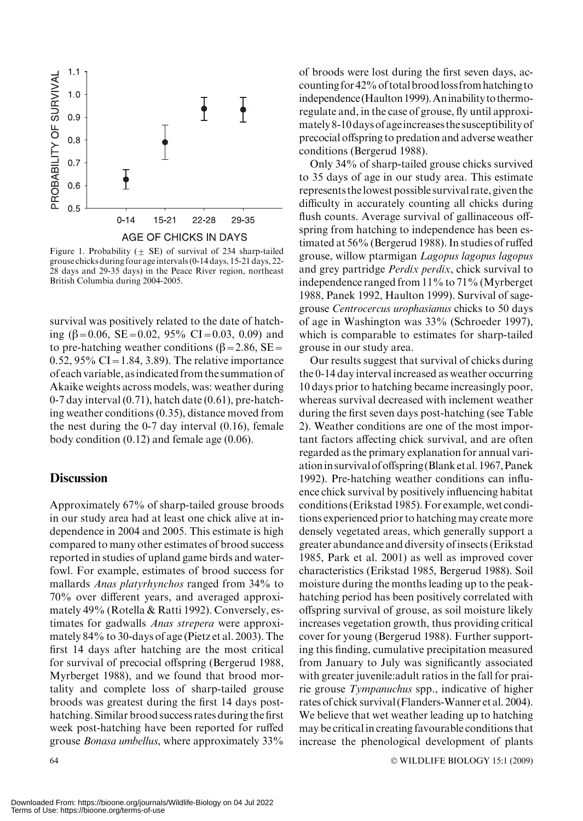

Figure 1. Probability ( $\pm$  SE) of survival of 234 sharp-tailed grouse chicks during four age intervals (0-14 days, 15-21 days, 22- 28 days and 29-35 days) in the Peace River region, northeast British Columbia during 2004-2005.

survival was positively related to the date of hatching  $(\beta=0.06, \text{ SE}=0.02, 95\% \text{ CI}=0.03, 0.09)$  and to pre-hatching weather conditions ( $\beta$ =2.86, SE= 0.52, 95% CI = 1.84, 3.89). The relative importance of each variable, asindicated from the summation of Akaike weights across models, was: weather during 0-7 day interval (0.71), hatch date (0.61), pre-hatching weather conditions (0.35), distance moved from the nest during the 0-7 day interval (0.16), female body condition (0.12) and female age (0.06).

#### **Discussion**

Approximately 67% of sharp-tailed grouse broods in our study area had at least one chick alive at independence in 2004 and 2005. This estimate is high compared to many other estimates of brood success reported in studies of upland game birds and waterfowl. For example, estimates of brood success for mallards Anas platyrhynchos ranged from 34% to 70% over different years, and averaged approximately 49% (Rotella & Ratti 1992). Conversely, estimates for gadwalls Anas strepera were approximately 84% to 30-days of age (Pietz et al. 2003). The first 14 days after hatching are the most critical for survival of precocial offspring (Bergerud 1988, Myrberget 1988), and we found that brood mortality and complete loss of sharp-tailed grouse broods was greatest during the first 14 days posthatching. Similar brood success rates during the first week post-hatching have been reported for ruffed grouse Bonasa umbellus, where approximately 33%

of broods were lost during the first seven days, accounting for 42% of totalbroodloss from hatching to independence (Haulton 1999). An inability to thermoregulate and, in the case of grouse, fly until approximately 8-10 days of ageincreases the susceptibility of precocial offspring to predation and adverse weather conditions (Bergerud 1988).

Only 34% of sharp-tailed grouse chicks survived to 35 days of age in our study area. This estimate represents thelowest possible survival rate, given the difficulty in accurately counting all chicks during flush counts. Average survival of gallinaceous offspring from hatching to independence has been estimated at 56% (Bergerud 1988). In studies of ruffed grouse, willow ptarmigan Lagopus lagopus lagopus and grey partridge Perdix perdix, chick survival to independence ranged from 11% to 71% (Myrberget 1988, Panek 1992, Haulton 1999). Survival of sagegrouse Centrocercus urophasianus chicks to 50 days of age in Washington was 33% (Schroeder 1997), which is comparable to estimates for sharp-tailed grouse in our study area.

Our results suggest that survival of chicks during the 0-14 day interval increased as weather occurring 10 days prior to hatching became increasingly poor, whereas survival decreased with inclement weather during the first seven days post-hatching (see Table 2). Weather conditions are one of the most important factors affecting chick survival, and are often regarded as the primary explanation for annual variationin survival of offspring (Blank et al. 1967, Panek 1992). Pre-hatching weather conditions can influence chick survival by positively influencing habitat conditions (Erikstad 1985). For example, wet conditions experienced prior to hatching may create more densely vegetated areas, which generally support a greater abundance and diversity of insects (Erikstad 1985, Park et al. 2001) as well as improved cover characteristics (Erikstad 1985, Bergerud 1988). Soil moisture during the months leading up to the peakhatching period has been positively correlated with offspring survival of grouse, as soil moisture likely increases vegetation growth, thus providing critical cover for young (Bergerud 1988). Further supporting this finding, cumulative precipitation measured from January to July was significantly associated with greater juvenile:adult ratios in the fall for prairie grouse Tympanuchus spp., indicative of higher rates of chick survival (Flanders-Wanner et al. 2004). We believe that wet weather leading up to hatching may be critical in creating favourable conditions that increase the phenological development of plants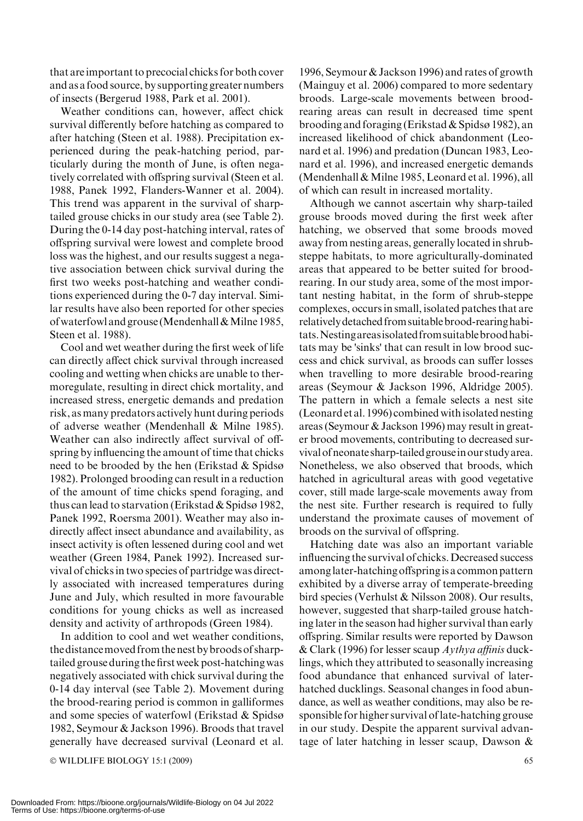that are important to precocial chicks for both cover and as a food source, by supporting greater numbers of insects (Bergerud 1988, Park et al. 2001).

Weather conditions can, however, affect chick survival differently before hatching as compared to after hatching (Steen et al. 1988). Precipitation experienced during the peak-hatching period, particularly during the month of June, is often negatively correlated with offspring survival (Steen et al. 1988, Panek 1992, Flanders-Wanner et al. 2004). This trend was apparent in the survival of sharptailed grouse chicks in our study area (see Table 2). During the 0-14 day post-hatching interval, rates of offspring survival were lowest and complete brood loss was the highest, and our results suggest a negative association between chick survival during the first two weeks post-hatching and weather conditions experienced during the 0-7 day interval. Similar results have also been reported for other species ofwaterfowl and grouse (Mendenhall&Milne 1985, Steen et al. 1988).

Cool and wet weather during the first week of life can directly affect chick survival through increased cooling and wetting when chicks are unable to thermoregulate, resulting in direct chick mortality, and increased stress, energetic demands and predation risk, as many predators actively hunt during periods of adverse weather (Mendenhall & Milne 1985). Weather can also indirectly affect survival of offspring by influencing the amount of time that chicks need to be brooded by the hen (Erikstad & Spidsø 1982). Prolonged brooding can result in a reduction of the amount of time chicks spend foraging, and thus can lead to starvation (Erikstad & Spidsø 1982, Panek 1992, Roersma 2001). Weather may also indirectly affect insect abundance and availability, as insect activity is often lessened during cool and wet weather (Green 1984, Panek 1992). Increased survival of chicks in two species of partridge was directly associated with increased temperatures during June and July, which resulted in more favourable conditions for young chicks as well as increased density and activity of arthropods (Green 1984).

In addition to cool and wet weather conditions, thedistancemoved from thenest bybroods of sharptailed grouse during the first week post-hatchingwas negatively associated with chick survival during the 0-14 day interval (see Table 2). Movement during the brood-rearing period is common in galliformes and some species of waterfowl (Erikstad & Spidsø 1982, Seymour & Jackson 1996). Broods that travel generally have decreased survival (Leonard et al.

 $\odot$  WILDLIFE BIOLOGY 15:1 (2009) 65

1996, Seymour & Jackson 1996) and rates of growth (Mainguy et al. 2006) compared to more sedentary broods. Large-scale movements between broodrearing areas can result in decreased time spent brooding and foraging (Erikstad & Spidsø 1982), an increased likelihood of chick abandonment (Leonard et al. 1996) and predation (Duncan 1983, Leonard et al. 1996), and increased energetic demands (Mendenhall  $&$  Milne 1985, Leonard et al. 1996), all of which can result in increased mortality.

Although we cannot ascertain why sharp-tailed grouse broods moved during the first week after hatching, we observed that some broods moved away from nesting areas, generally located in shrubsteppe habitats, to more agriculturally-dominated areas that appeared to be better suited for broodrearing. In our study area, some of the most important nesting habitat, in the form of shrub-steppe complexes, occurs in small, isolated patches that are relativelydetached from suitablebrood-rearinghabitats.Nestingareasisolatedfromsuitablebroodhabitats may be 'sinks' that can result in low brood success and chick survival, as broods can suffer losses when travelling to more desirable brood-rearing areas (Seymour & Jackson 1996, Aldridge 2005). The pattern in which a female selects a nest site (Leonard et al. 1996) combined withisolated nesting areas (Seymour & Jackson 1996) may result in greater brood movements, contributing to decreased survival of neonate sharp-tailedgrouseinour study area. Nonetheless, we also observed that broods, which hatched in agricultural areas with good vegetative cover, still made large-scale movements away from the nest site. Further research is required to fully understand the proximate causes of movement of broods on the survival of offspring.

Hatching date was also an important variable influencing the survival of chicks. Decreased success amonglater-hatching offspringis a common pattern exhibited by a diverse array of temperate-breeding bird species (Verhulst & Nilsson 2008). Our results, however, suggested that sharp-tailed grouse hatching later in the season had higher survival than early offspring. Similar results were reported by Dawson & Clark (1996) for lesser scaup  $Aythya$  affinis ducklings, which they attributed to seasonally increasing food abundance that enhanced survival of laterhatched ducklings. Seasonal changes in food abundance, as well as weather conditions, may also be responsible for higher survival of late-hatching grouse in our study. Despite the apparent survival advantage of later hatching in lesser scaup, Dawson &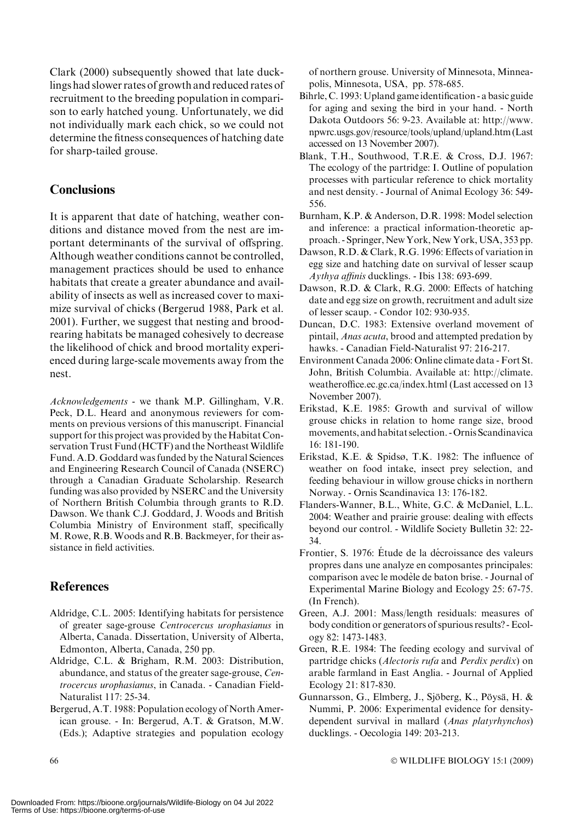Clark (2000) subsequently showed that late ducklings had slower rates of growth and reduced rates of recruitment to the breeding population in comparison to early hatched young. Unfortunately, we did not individually mark each chick, so we could not determine the fitness consequences of hatching date for sharp-tailed grouse.

## **Conclusions**

It is apparent that date of hatching, weather conditions and distance moved from the nest are important determinants of the survival of offspring. Although weather conditions cannot be controlled, management practices should be used to enhance habitats that create a greater abundance and availability of insects as well as increased cover to maximize survival of chicks (Bergerud 1988, Park et al. 2001). Further, we suggest that nesting and broodrearing habitats be managed cohesively to decrease the likelihood of chick and brood mortality experienced during large-scale movements away from the nest.

Acknowledgements - we thank M.P. Gillingham, V.R. Peck, D.L. Heard and anonymous reviewers for comments on previous versions of this manuscript. Financial support for this project was provided by the Habitat Conservation Trust Fund (HCTF) and the Northeast Wildlife Fund. A.D. Goddard was funded by the Natural Sciences and Engineering Research Council of Canada (NSERC) through a Canadian Graduate Scholarship. Research funding was also provided by NSERC and the University of Northern British Columbia through grants to R.D. Dawson. We thank C.J. Goddard, J. Woods and British Columbia Ministry of Environment staff, specifically M. Rowe, R.B. Woods and R.B. Backmeyer, for their assistance in field activities.

## **References**

- Aldridge, C.L. 2005: Identifying habitats for persistence of greater sage-grouse Centrocercus urophasianus in Alberta, Canada. Dissertation, University of Alberta, Edmonton, Alberta, Canada, 250 pp.
- Aldridge, C.L. & Brigham, R.M. 2003: Distribution, abundance, and status of the greater sage-grouse, Centrocercus urophasianus, in Canada. - Canadian Field-Naturalist 117: 25-34.
- Bergerud, A.T. 1988: Population ecology of North American grouse. - In: Bergerud, A.T. & Gratson, M.W. (Eds.); Adaptive strategies and population ecology

of northern grouse. University of Minnesota, Minneapolis, Minnesota, USA, pp. 578-685.

- Bihrle, C. 1993: Upland game identification a basic guide for aging and sexing the bird in your hand. - North Dakota Outdoors 56: 9-23. Available at: http://www. npwrc.usgs.gov/resource/tools/upland/upland.htm (Last accessed on 13 November 2007).
- Blank, T.H., Southwood, T.R.E. & Cross, D.J. 1967: The ecology of the partridge: I. Outline of population processes with particular reference to chick mortality and nest density. - Journal of Animal Ecology 36: 549- 556.
- Burnham, K.P. & Anderson, D.R. 1998: Model selection and inference: a practical information-theoretic approach. - Springer, New York, New York, USA, 353 pp.
- Dawson, R.D. & Clark, R.G. 1996: Effects of variation in egg size and hatching date on survival of lesser scaup Aythya affinis ducklings. - Ibis 138: 693-699.
- Dawson, R.D. & Clark, R.G. 2000: Effects of hatching date and egg size on growth, recruitment and adult size of lesser scaup. - Condor 102: 930-935.
- Duncan, D.C. 1983: Extensive overland movement of pintail, Anas acuta, brood and attempted predation by hawks. - Canadian Field-Naturalist 97: 216-217.
- Environment Canada 2006: Online climate data Fort St. John, British Columbia. Available at: http://climate. weatheroffice.ec.gc.ca/index.html (Last accessed on 13 November 2007).
- Erikstad, K.E. 1985: Growth and survival of willow grouse chicks in relation to home range size, brood movements, and habitat selection. - Ornis Scandinavica 16: 181-190.
- Erikstad, K.E. & Spidsø, T.K. 1982: The influence of weather on food intake, insect prey selection, and feeding behaviour in willow grouse chicks in northern Norway. - Ornis Scandinavica 13: 176-182.
- Flanders-Wanner, B.L., White, G.C. & McDaniel, L.L. 2004: Weather and prairie grouse: dealing with effects beyond our control. - Wildlife Society Bulletin 32: 22- 34.
- Frontier, S. 1976: Étude de la décroissance des valeurs propres dans une analyze en composantes principales: comparison avec le modèle de baton brise. - Journal of Experimental Marine Biology and Ecology 25: 67-75. (In French).
- Green, A.J. 2001: Mass/length residuals: measures of body condition or generators of spurious results? - Ecology 82: 1473-1483.
- Green, R.E. 1984: The feeding ecology and survival of partridge chicks (Alectoris rufa and Perdix perdix) on arable farmland in East Anglia. - Journal of Applied Ecology 21: 817-830.
- Gunnarsson, G., Elmberg, J., Sjöberg, K., Pöysä, H. & Nummi, P. 2006: Experimental evidence for densitydependent survival in mallard (Anas platyrhynchos) ducklings. - Oecologia 149: 203-213.